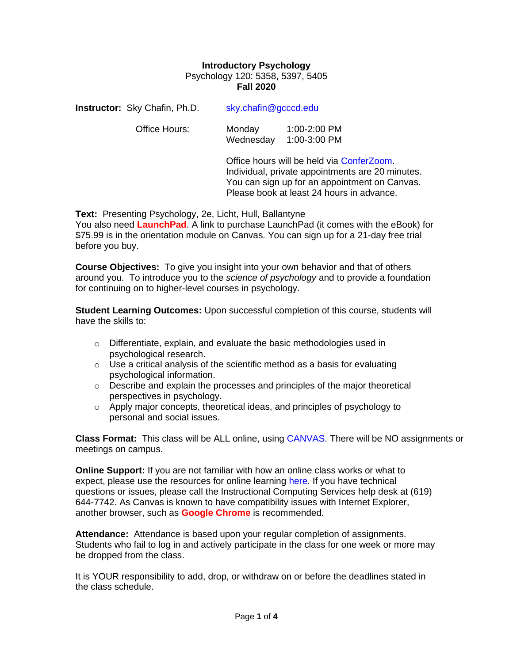## **Introductory Psychology** Psychology 120: 5358, 5397, 5405 **Fall 2020**

Wednesday 1:00-3:00 PM

| <b>Instructor:</b> Sky Chafin, Ph.D. | sky.chafin@gcccd.edu |              |  |
|--------------------------------------|----------------------|--------------|--|
| Office Hours:                        | Monday               | 1:00-2:00 PM |  |

Office hours will be held via [ConferZoom.](https://ccctechconnect.zendesk.com/hc/en-us/articles/360009517813-Appointment-Booking) Individual, private appointments are 20 minutes. You can sign up for an appointment on Canvas. Please book at least 24 hours in advance.

**Text:** Presenting Psychology, 2e, Licht, Hull, Ballantyne

You also need **LaunchPad**. A link to purchase LaunchPad (it comes with the eBook) for \$75.99 is in the orientation module on Canvas. You can sign up for a 21-day free trial before you buy.

**Course Objectives:** To give you insight into your own behavior and that of others around you. To introduce you to the *science of psychology* and to provide a foundation for continuing on to higher-level courses in psychology.

**Student Learning Outcomes:** Upon successful completion of this course, students will have the skills to:

- $\circ$  Differentiate, explain, and evaluate the basic methodologies used in psychological research.
- $\circ$  Use a critical analysis of the scientific method as a basis for evaluating psychological information.
- $\circ$  Describe and explain the processes and principles of the major theoretical perspectives in psychology.
- o Apply major concepts, theoretical ideas, and principles of psychology to personal and social issues.

**Class Format:** This class will be ALL online, using [CANVAS.](https://gcccd.instructure.com/) There will be NO assignments or meetings on campus.

**Online Support:** If you are not familiar with how an online class works or what to expect, please use the resources for online learning [here.](https://www.grossmont.edu/canvas/students/) If you have technical questions or issues, please call the Instructional Computing Services help desk at (619) 644-7742. As Canvas is known to have compatibility issues with Internet Explorer, another browser, such as **Google Chrome** is recommended.

**Attendance:** Attendance is based upon your regular completion of assignments. Students who fail to log in and actively participate in the class for one week or more may be dropped from the class.

It is YOUR responsibility to add, drop, or withdraw on or before the deadlines stated in the class schedule.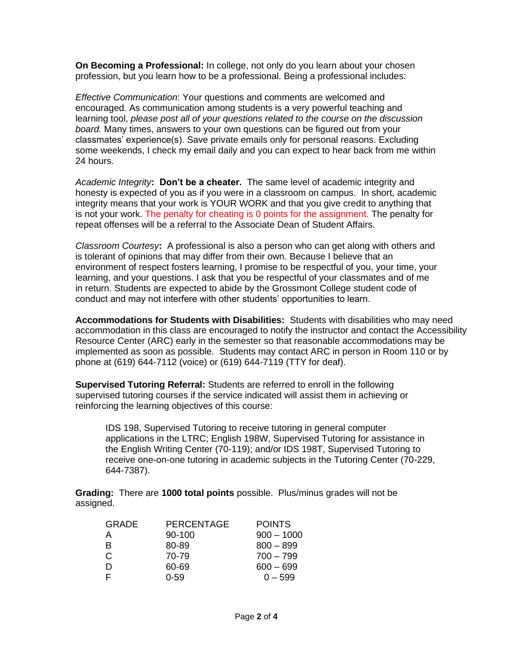**On Becoming a Professional:** In college, not only do you learn about your chosen profession, but you learn how to be a professional. Being a professional includes:

*Effective Communication*: Your questions and comments are welcomed and encouraged. As communication among students is a very powerful teaching and learning tool, *please post all of your questions related to the course on the discussion board.* Many times, answers to your own questions can be figured out from your classmates' experience(s). Save private emails only for personal reasons. Excluding some weekends, I check my email daily and you can expect to hear back from me within 24 hours.

*Academic Integrity***: Don't be a cheater.** The same level of academic integrity and honesty is expected of you as if you were in a classroom on campus. In short, academic integrity means that your work is YOUR WORK and that you give credit to anything that is not your work. The penalty for cheating is 0 points for the assignment. The penalty for repeat offenses will be a referral to the Associate Dean of Student Affairs.

*Classroom Courtesy***:** A professional is also a person who can get along with others and is tolerant of opinions that may differ from their own. Because I believe that an environment of respect fosters learning, I promise to be respectful of you, your time, your learning, and your questions. I ask that you be respectful of your classmates and of me in return. Students are expected to abide by the Grossmont College student code of conduct and may not interfere with other students' opportunities to learn.

**Accommodations for Students with Disabilities:** Students with disabilities who may need accommodation in this class are encouraged to notify the instructor and contact the Accessibility Resource Center (ARC) early in the semester so that reasonable accommodations may be implemented as soon as possible. Students may contact ARC in person in Room 110 or by phone at (619) 644-7112 (voice) or (619) 644-7119 (TTY for deaf).

**Supervised Tutoring Referral:** Students are referred to enroll in the following supervised tutoring courses if the service indicated will assist them in achieving or reinforcing the learning objectives of this course:

IDS 198, Supervised Tutoring to receive tutoring in general computer applications in the LTRC; English 198W, Supervised Tutoring for assistance in the English Writing Center (70-119); and/or IDS 198T, Supervised Tutoring to receive one-on-one tutoring in academic subjects in the Tutoring Center (70-229, 644-7387).

**Grading:** There are **1000 total points** possible. Plus/minus grades will not be assigned.

| <b>GRADE</b> | <b>PERCENTAGE</b> | <b>POINTS</b> |
|--------------|-------------------|---------------|
| A            | 90-100            | $900 - 1000$  |
| B            | 80-89             | $800 - 899$   |
| C            | 70-79             | $700 - 799$   |
| D            | 60-69             | $600 - 699$   |
| F            | $0 - 59$          | $0 - 599$     |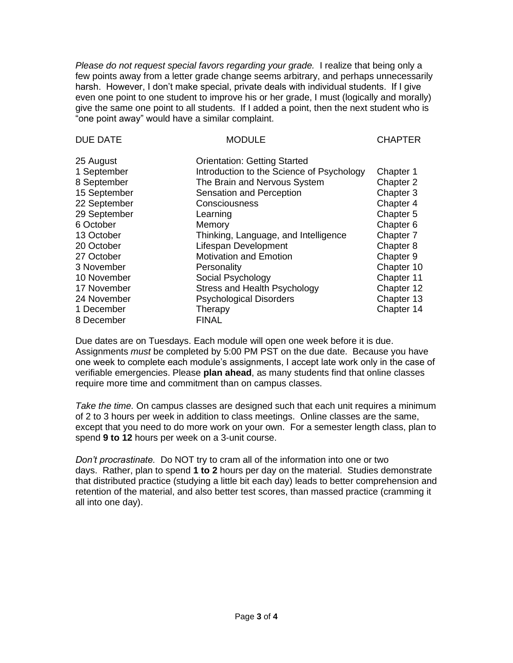*Please do not request special favors regarding your grade.* I realize that being only a few points away from a letter grade change seems arbitrary, and perhaps unnecessarily harsh. However, I don't make special, private deals with individual students. If I give even one point to one student to improve his or her grade, I must (logically and morally) give the same one point to all students. If I added a point, then the next student who is "one point away" would have a similar complaint.

| <b>DUE DATE</b> | <b>MODULE</b>                             | <b>CHAPTER</b>       |
|-----------------|-------------------------------------------|----------------------|
| 25 August       | <b>Orientation: Getting Started</b>       |                      |
| 1 September     | Introduction to the Science of Psychology | Chapter 1            |
| 8 September     | The Brain and Nervous System              | Chapter 2            |
| 15 September    | Sensation and Perception                  | Chapter 3            |
| 22 September    | Consciousness                             | Chapter 4            |
| 29 September    | Learning                                  | Chapter 5            |
| 6 October       | Memory                                    | Chapter <sub>6</sub> |
| 13 October      | Thinking, Language, and Intelligence      | Chapter 7            |
| 20 October      | Lifespan Development                      | Chapter 8            |
| 27 October      | <b>Motivation and Emotion</b>             | Chapter 9            |
| 3 November      | Personality                               | Chapter 10           |
| 10 November     | Social Psychology                         | Chapter 11           |
| 17 November     | Stress and Health Psychology              | Chapter 12           |
| 24 November     | <b>Psychological Disorders</b>            | Chapter 13           |
| 1 December      | Therapy                                   | Chapter 14           |
| 8 December      | <b>FINAL</b>                              |                      |

Due dates are on Tuesdays. Each module will open one week before it is due. Assignments *must* be completed by 5:00 PM PST on the due date. Because you have one week to complete each module's assignments, I accept late work only in the case of verifiable emergencies. Please **plan ahead**, as many students find that online classes require more time and commitment than on campus classes.

*Take the time.* On campus classes are designed such that each unit requires a minimum of 2 to 3 hours per week in addition to class meetings. Online classes are the same, except that you need to do more work on your own. For a semester length class, plan to spend **9 to 12** hours per week on a 3-unit course.

*Don't procrastinate.* Do NOT try to cram all of the information into one or two days. Rather, plan to spend **1 to 2** hours per day on the material. Studies demonstrate that distributed practice (studying a little bit each day) leads to better comprehension and retention of the material, and also better test scores, than massed practice (cramming it all into one day).